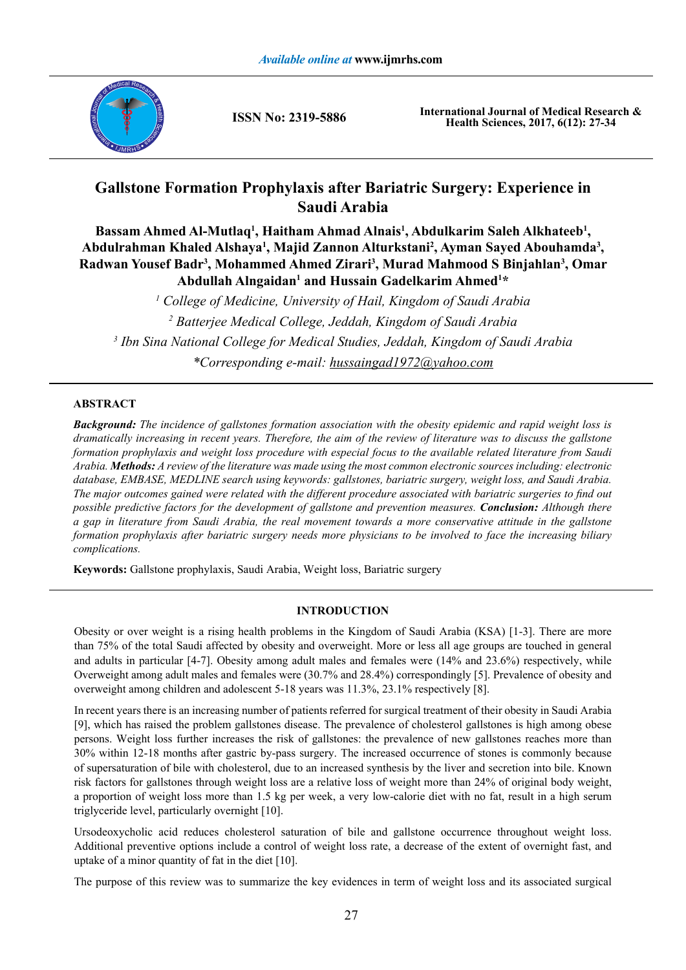

**ISSN No: 2319-5886**

**International Journal of Medical Research & Health Sciences, 2017, 6(12): 27-34**

# **Gallstone Formation Prophylaxis after Bariatric Surgery: Experience in Saudi Arabia**

Bassam Ahmed Al-Mutlaq<sup>1</sup>, Haitham Ahmad Alnais<sup>1</sup>, Abdulkarim Saleh Alkhateeb<sup>1</sup>, Abdulrahman Khaled Alshaya<sup>1</sup>, Majid Zannon Alturkstani<sup>2</sup>, Ayman Sayed Abouhamda<sup>3</sup>, **Radwan Yousef Badr3 , Mohammed Ahmed Zirari3 , Murad Mahmood S Binjahlan3 , Omar**  Abdullah Alngaidan<sup>1</sup> and Hussain Gadelkarim Ahmed<sup>1\*</sup>

  *College of Medicine, University of Hail, Kingdom of Saudi Arabia Batterjee Medical College, Jeddah, Kingdom of Saudi Arabia Ibn Sina National College for Medical Studies, Jeddah, Kingdom of Saudi Arabia \*Corresponding e-mail: hussaingad1972@yahoo.com*

## **ABSTRACT**

*Background: The incidence of gallstones formation association with the obesity epidemic and rapid weight loss is dramatically increasing in recent years. Therefore, the aim of the review of literature was to discuss the gallstone formation prophylaxis and weight loss procedure with especial focus to the available related literature from Saudi Arabia. Methods: A review of the literature was made using the most common electronic sources including: electronic database, EMBASE, MEDLINE search using keywords: gallstones, bariatric surgery, weight loss, and Saudi Arabia. The major outcomes gained were related with the different procedure associated with bariatric surgeries to find out possible predictive factors for the development of gallstone and prevention measures. Conclusion: Although there a gap in literature from Saudi Arabia, the real movement towards a more conservative attitude in the gallstone formation prophylaxis after bariatric surgery needs more physicians to be involved to face the increasing biliary complications.* 

**Keywords:** Gallstone prophylaxis, Saudi Arabia, Weight loss, Bariatric surgery

### **INTRODUCTION**

Obesity or over weight is a rising health problems in the Kingdom of Saudi Arabia (KSA) [1-3]. There are more than 75% of the total Saudi affected by obesity and overweight. More or less all age groups are touched in general and adults in particular [4-7]. Obesity among adult males and females were (14% and 23.6%) respectively, while Overweight among adult males and females were (30.7% and 28.4%) correspondingly [5]. Prevalence of obesity and overweight among children and adolescent 5-18 years was 11.3%, 23.1% respectively [8].

In recent years there is an increasing number of patients referred for surgical treatment of their obesity in Saudi Arabia [9], which has raised the problem gallstones disease. The prevalence of cholesterol gallstones is high among obese persons. Weight loss further increases the risk of gallstones: the prevalence of new gallstones reaches more than 30% within 12-18 months after gastric by-pass surgery. The increased occurrence of stones is commonly because of supersaturation of bile with cholesterol, due to an increased synthesis by the liver and secretion into bile. Known risk factors for gallstones through weight loss are a relative loss of weight more than 24% of original body weight, a proportion of weight loss more than 1.5 kg per week, a very low-calorie diet with no fat, result in a high serum triglyceride level, particularly overnight [10].

Ursodeoxycholic acid reduces cholesterol saturation of bile and gallstone occurrence throughout weight loss. Additional preventive options include a control of weight loss rate, a decrease of the extent of overnight fast, and uptake of a minor quantity of fat in the diet [10].

The purpose of this review was to summarize the key evidences in term of weight loss and its associated surgical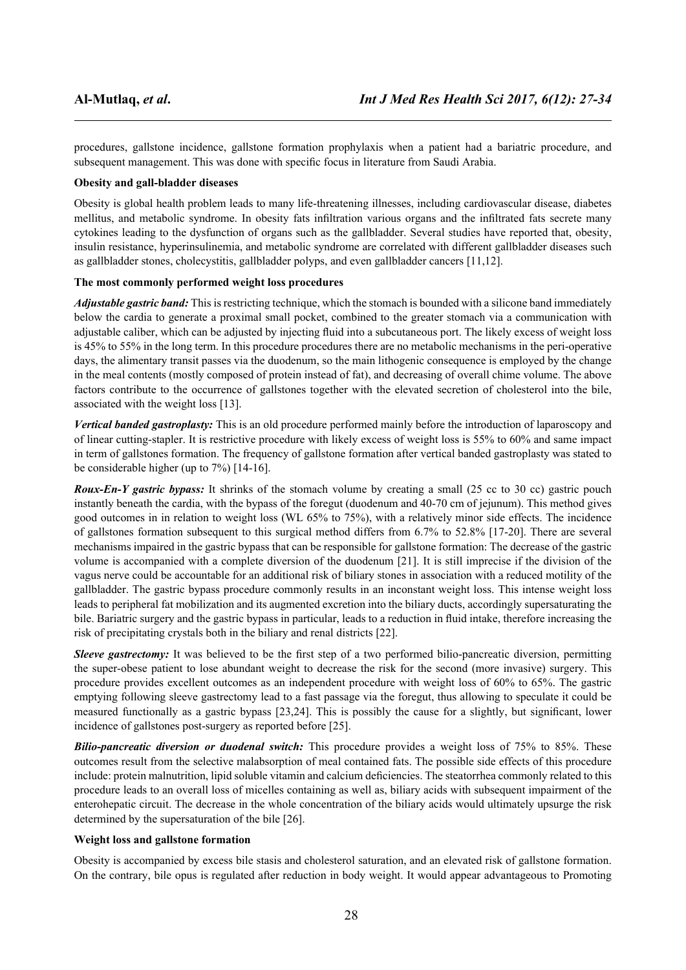procedures, gallstone incidence, gallstone formation prophylaxis when a patient had a bariatric procedure, and subsequent management. This was done with specific focus in literature from Saudi Arabia.

#### **Obesity and gall-bladder diseases**

Obesity is global health problem leads to many life-threatening illnesses, including cardiovascular disease, diabetes mellitus, and metabolic syndrome. In obesity fats infiltration various organs and the infiltrated fats secrete many cytokines leading to the dysfunction of organs such as the gallbladder. Several studies have reported that, obesity, insulin resistance, hyperinsulinemia, and metabolic syndrome are correlated with different gallbladder diseases such as gallbladder stones, cholecystitis, gallbladder polyps, and even gallbladder cancers [11,12].

### **The most commonly performed weight loss procedures**

*Adjustable gastric band:* This is restricting technique, which the stomach is bounded with a silicone band immediately below the cardia to generate a proximal small pocket, combined to the greater stomach via a communication with adjustable caliber, which can be adjusted by injecting fluid into a subcutaneous port. The likely excess of weight loss is 45% to 55% in the long term. In this procedure procedures there are no metabolic mechanisms in the peri-operative days, the alimentary transit passes via the duodenum, so the main lithogenic consequence is employed by the change in the meal contents (mostly composed of protein instead of fat), and decreasing of overall chime volume. The above factors contribute to the occurrence of gallstones together with the elevated secretion of cholesterol into the bile, associated with the weight loss [13].

*Vertical banded gastroplasty:* This is an old procedure performed mainly before the introduction of laparoscopy and of linear cutting-stapler. It is restrictive procedure with likely excess of weight loss is 55% to 60% and same impact in term of gallstones formation. The frequency of gallstone formation after vertical banded gastroplasty was stated to be considerable higher (up to 7%) [14-16].

*Roux-En-Y gastric bypass:* It shrinks of the stomach volume by creating a small (25 cc to 30 cc) gastric pouch instantly beneath the cardia, with the bypass of the foregut (duodenum and 40-70 cm of jejunum). This method gives good outcomes in in relation to weight loss (WL 65% to 75%), with a relatively minor side effects. The incidence of gallstones formation subsequent to this surgical method differs from 6.7% to 52.8% [17-20]. There are several mechanisms impaired in the gastric bypass that can be responsible for gallstone formation: The decrease of the gastric volume is accompanied with a complete diversion of the duodenum [21]. It is still imprecise if the division of the vagus nerve could be accountable for an additional risk of biliary stones in association with a reduced motility of the gallbladder. The gastric bypass procedure commonly results in an inconstant weight loss. This intense weight loss leads to peripheral fat mobilization and its augmented excretion into the biliary ducts, accordingly supersaturating the bile. Bariatric surgery and the gastric bypass in particular, leads to a reduction in fluid intake, therefore increasing the risk of precipitating crystals both in the biliary and renal districts [22].

*Sleeve gastrectomy:* It was believed to be the first step of a two performed bilio-pancreatic diversion, permitting the super-obese patient to lose abundant weight to decrease the risk for the second (more invasive) surgery. This procedure provides excellent outcomes as an independent procedure with weight loss of 60% to 65%. The gastric emptying following sleeve gastrectomy lead to a fast passage via the foregut, thus allowing to speculate it could be measured functionally as a gastric bypass [23,24]. This is possibly the cause for a slightly, but significant, lower incidence of gallstones post-surgery as reported before [25].

*Bilio-pancreatic diversion or duodenal switch:* This procedure provides a weight loss of 75% to 85%. These outcomes result from the selective malabsorption of meal contained fats. The possible side effects of this procedure include: protein malnutrition, lipid soluble vitamin and calcium deficiencies. The steatorrhea commonly related to this procedure leads to an overall loss of micelles containing as well as, biliary acids with subsequent impairment of the enterohepatic circuit. The decrease in the whole concentration of the biliary acids would ultimately upsurge the risk determined by the supersaturation of the bile [26].

#### **Weight loss and gallstone formation**

Obesity is accompanied by excess bile stasis and cholesterol saturation, and an elevated risk of gallstone formation. On the contrary, bile opus is regulated after reduction in body weight. It would appear advantageous to Promoting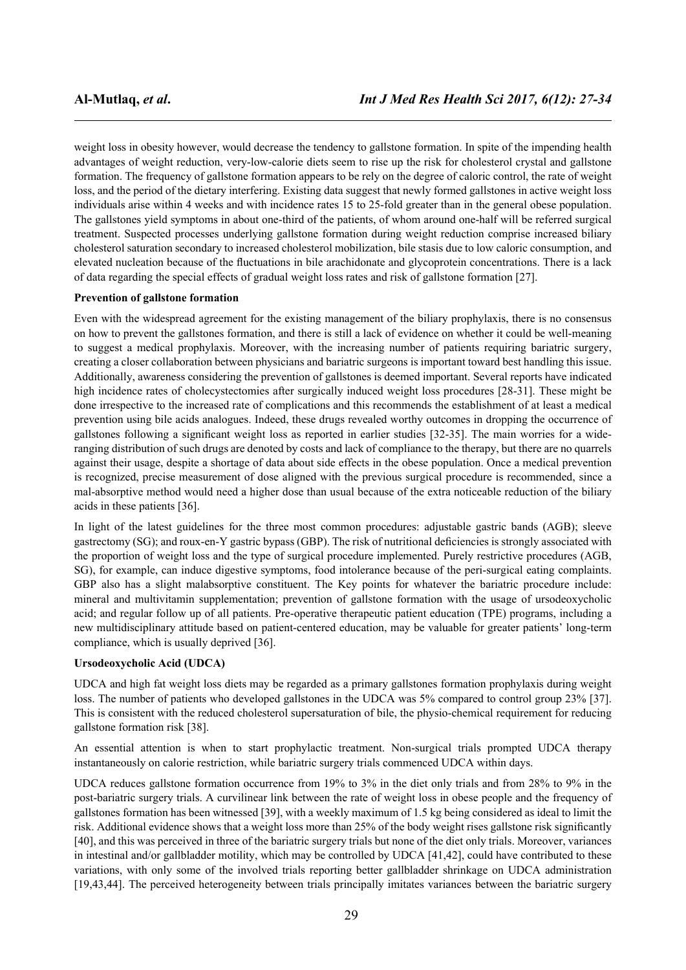weight loss in obesity however, would decrease the tendency to gallstone formation. In spite of the impending health advantages of weight reduction, very-low-calorie diets seem to rise up the risk for cholesterol crystal and gallstone formation. The frequency of gallstone formation appears to be rely on the degree of caloric control, the rate of weight loss, and the period of the dietary interfering. Existing data suggest that newly formed gallstones in active weight loss individuals arise within 4 weeks and with incidence rates 15 to 25-fold greater than in the general obese population. The gallstones yield symptoms in about one-third of the patients, of whom around one-half will be referred surgical treatment. Suspected processes underlying gallstone formation during weight reduction comprise increased biliary cholesterol saturation secondary to increased cholesterol mobilization, bile stasis due to low caloric consumption, and elevated nucleation because of the fluctuations in bile arachidonate and glycoprotein concentrations. There is a lack of data regarding the special effects of gradual weight loss rates and risk of gallstone formation [27].

#### **Prevention of gallstone formation**

Even with the widespread agreement for the existing management of the biliary prophylaxis, there is no consensus on how to prevent the gallstones formation, and there is still a lack of evidence on whether it could be well-meaning to suggest a medical prophylaxis. Moreover, with the increasing number of patients requiring bariatric surgery, creating a closer collaboration between physicians and bariatric surgeons is important toward best handling this issue. Additionally, awareness considering the prevention of gallstones is deemed important. Several reports have indicated high incidence rates of cholecystectomies after surgically induced weight loss procedures [28-31]. These might be done irrespective to the increased rate of complications and this recommends the establishment of at least a medical prevention using bile acids analogues. Indeed, these drugs revealed worthy outcomes in dropping the occurrence of gallstones following a significant weight loss as reported in earlier studies [32-35]. The main worries for a wideranging distribution of such drugs are denoted by costs and lack of compliance to the therapy, but there are no quarrels against their usage, despite a shortage of data about side effects in the obese population. Once a medical prevention is recognized, precise measurement of dose aligned with the previous surgical procedure is recommended, since a mal-absorptive method would need a higher dose than usual because of the extra noticeable reduction of the biliary acids in these patients [36].

In light of the latest guidelines for the three most common procedures: adjustable gastric bands (AGB); sleeve gastrectomy (SG); and roux-en-Y gastric bypass (GBP). The risk of nutritional deficiencies is strongly associated with the proportion of weight loss and the type of surgical procedure implemented. Purely restrictive procedures (AGB, SG), for example, can induce digestive symptoms, food intolerance because of the peri-surgical eating complaints. GBP also has a slight malabsorptive constituent. The Key points for whatever the bariatric procedure include: mineral and multivitamin supplementation; prevention of gallstone formation with the usage of ursodeoxycholic acid; and regular follow up of all patients. Pre-operative therapeutic patient education (TPE) programs, including a new multidisciplinary attitude based on patient-centered education, may be valuable for greater patients' long-term compliance, which is usually deprived [36].

#### **Ursodeoxycholic Acid (UDCA)**

UDCA and high fat weight loss diets may be regarded as a primary gallstones formation prophylaxis during weight loss. The number of patients who developed gallstones in the UDCA was 5% compared to control group 23% [37]. This is consistent with the reduced cholesterol supersaturation of bile, the physio-chemical requirement for reducing gallstone formation risk [38].

An essential attention is when to start prophylactic treatment. Non-surgical trials prompted UDCA therapy instantaneously on calorie restriction, while bariatric surgery trials commenced UDCA within days.

UDCA reduces gallstone formation occurrence from 19% to 3% in the diet only trials and from 28% to 9% in the post-bariatric surgery trials. A curvilinear link between the rate of weight loss in obese people and the frequency of gallstones formation has been witnessed [39], with a weekly maximum of 1.5 kg being considered as ideal to limit the risk. Additional evidence shows that a weight loss more than 25% of the body weight rises gallstone risk significantly [40], and this was perceived in three of the bariatric surgery trials but none of the diet only trials. Moreover, variances in intestinal and/or gallbladder motility, which may be controlled by UDCA [41,42], could have contributed to these variations, with only some of the involved trials reporting better gallbladder shrinkage on UDCA administration [19,43,44]. The perceived heterogeneity between trials principally imitates variances between the bariatric surgery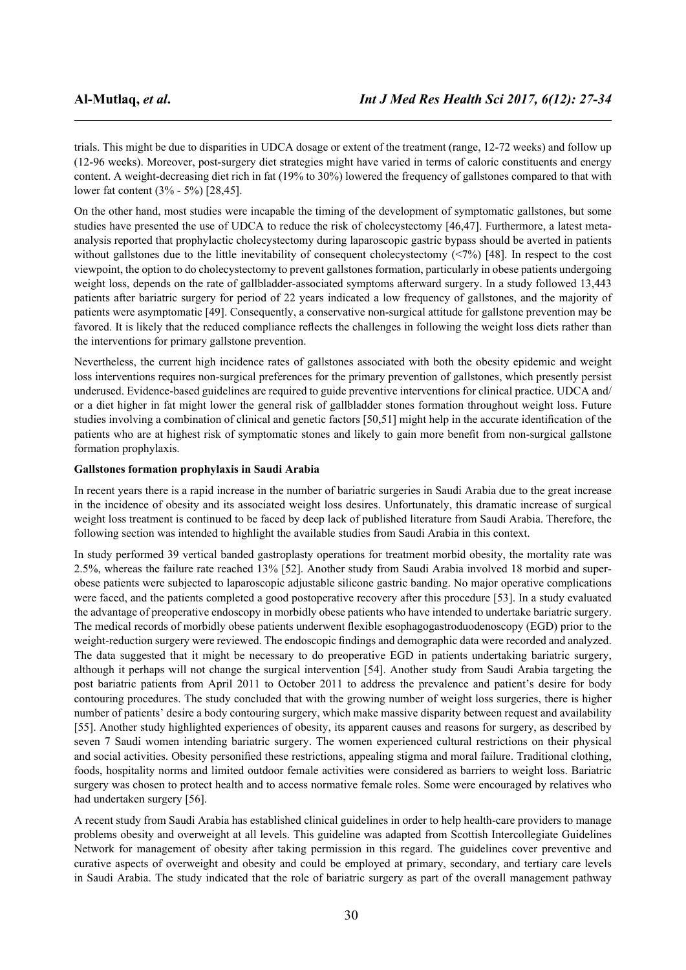trials. This might be due to disparities in UDCA dosage or extent of the treatment (range, 12-72 weeks) and follow up (12-96 weeks). Moreover, post-surgery diet strategies might have varied in terms of caloric constituents and energy content. A weight-decreasing diet rich in fat (19% to 30%) lowered the frequency of gallstones compared to that with lower fat content (3% - 5%) [28,45].

On the other hand, most studies were incapable the timing of the development of symptomatic gallstones, but some studies have presented the use of UDCA to reduce the risk of cholecystectomy [46,47]. Furthermore, a latest metaanalysis reported that prophylactic cholecystectomy during laparoscopic gastric bypass should be averted in patients without gallstones due to the little inevitability of consequent cholecystectomy (<7%) [48]. In respect to the cost viewpoint, the option to do cholecystectomy to prevent gallstones formation, particularly in obese patients undergoing weight loss, depends on the rate of gallbladder-associated symptoms afterward surgery. In a study followed 13,443 patients after bariatric surgery for period of 22 years indicated a low frequency of gallstones, and the majority of patients were asymptomatic [49]. Consequently, a conservative non-surgical attitude for gallstone prevention may be favored. It is likely that the reduced compliance reflects the challenges in following the weight loss diets rather than the interventions for primary gallstone prevention.

Nevertheless, the current high incidence rates of gallstones associated with both the obesity epidemic and weight loss interventions requires non-surgical preferences for the primary prevention of gallstones, which presently persist underused. Evidence-based guidelines are required to guide preventive interventions for clinical practice. UDCA and/ or a diet higher in fat might lower the general risk of gallbladder stones formation throughout weight loss. Future studies involving a combination of clinical and genetic factors [50,51] might help in the accurate identification of the patients who are at highest risk of symptomatic stones and likely to gain more benefit from non-surgical gallstone formation prophylaxis.

#### **Gallstones formation prophylaxis in Saudi Arabia**

In recent years there is a rapid increase in the number of bariatric surgeries in Saudi Arabia due to the great increase in the incidence of obesity and its associated weight loss desires. Unfortunately, this dramatic increase of surgical weight loss treatment is continued to be faced by deep lack of published literature from Saudi Arabia. Therefore, the following section was intended to highlight the available studies from Saudi Arabia in this context.

In study performed 39 vertical banded gastroplasty operations for treatment morbid obesity, the mortality rate was 2.5%, whereas the failure rate reached 13% [52]. Another study from Saudi Arabia involved 18 morbid and superobese patients were subjected to laparoscopic adjustable silicone gastric banding. No major operative complications were faced, and the patients completed a good postoperative recovery after this procedure [53]. In a study evaluated the advantage of preoperative endoscopy in morbidly obese patients who have intended to undertake bariatric surgery. The medical records of morbidly obese patients underwent flexible esophagogastroduodenoscopy (EGD) prior to the weight-reduction surgery were reviewed. The endoscopic findings and demographic data were recorded and analyzed. The data suggested that it might be necessary to do preoperative EGD in patients undertaking bariatric surgery, although it perhaps will not change the surgical intervention [54]. Another study from Saudi Arabia targeting the post bariatric patients from April 2011 to October 2011 to address the prevalence and patient's desire for body contouring procedures. The study concluded that with the growing number of weight loss surgeries, there is higher number of patients' desire a body contouring surgery, which make massive disparity between request and availability [55]. Another study highlighted experiences of obesity, its apparent causes and reasons for surgery, as described by seven 7 Saudi women intending bariatric surgery. The women experienced cultural restrictions on their physical and social activities. Obesity personified these restrictions, appealing stigma and moral failure. Traditional clothing, foods, hospitality norms and limited outdoor female activities were considered as barriers to weight loss. Bariatric surgery was chosen to protect health and to access normative female roles. Some were encouraged by relatives who had undertaken surgery [56].

A recent study from Saudi Arabia has established clinical guidelines in order to help health-care providers to manage problems obesity and overweight at all levels. This guideline was adapted from Scottish Intercollegiate Guidelines Network for management of obesity after taking permission in this regard. The guidelines cover preventive and curative aspects of overweight and obesity and could be employed at primary, secondary, and tertiary care levels in Saudi Arabia. The study indicated that the role of bariatric surgery as part of the overall management pathway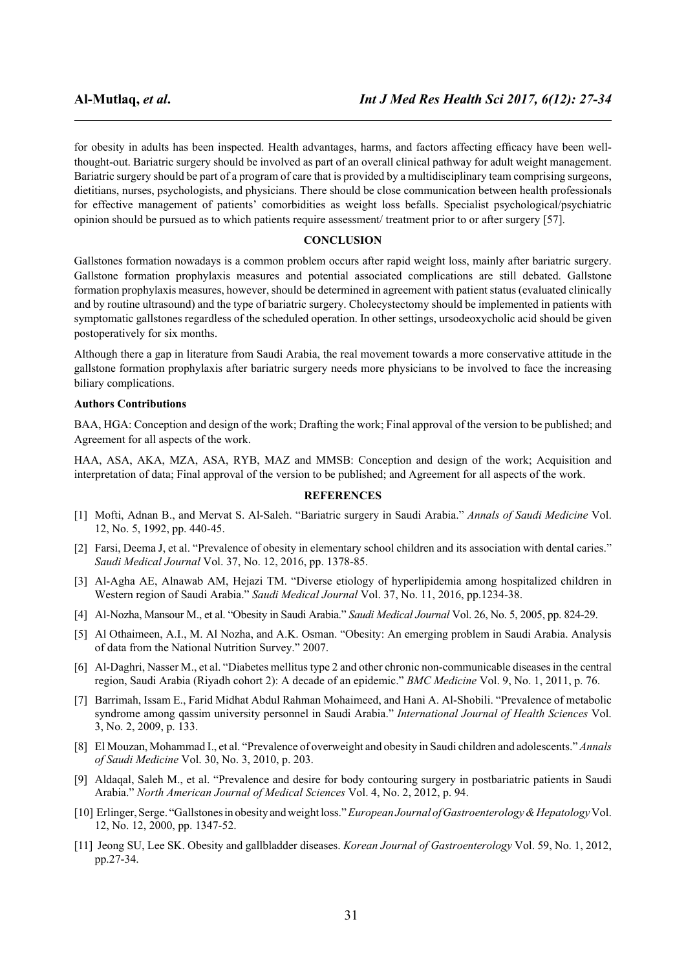for obesity in adults has been inspected. Health advantages, harms, and factors affecting efficacy have been wellthought-out. Bariatric surgery should be involved as part of an overall clinical pathway for adult weight management. Bariatric surgery should be part of a program of care that is provided by a multidisciplinary team comprising surgeons, dietitians, nurses, psychologists, and physicians. There should be close communication between health professionals for effective management of patients' comorbidities as weight loss befalls. Specialist psychological/psychiatric opinion should be pursued as to which patients require assessment/ treatment prior to or after surgery [57].

#### **CONCLUSION**

Gallstones formation nowadays is a common problem occurs after rapid weight loss, mainly after bariatric surgery. Gallstone formation prophylaxis measures and potential associated complications are still debated. Gallstone formation prophylaxis measures, however, should be determined in agreement with patient status (evaluated clinically and by routine ultrasound) and the type of bariatric surgery. Cholecystectomy should be implemented in patients with symptomatic gallstones regardless of the scheduled operation. In other settings, ursodeoxycholic acid should be given postoperatively for six months.

Although there a gap in literature from Saudi Arabia, the real movement towards a more conservative attitude in the gallstone formation prophylaxis after bariatric surgery needs more physicians to be involved to face the increasing biliary complications.

#### **Authors Contributions**

BAA, HGA: Conception and design of the work; Drafting the work; Final approval of the version to be published; and Agreement for all aspects of the work.

HAA, ASA, AKA, MZA, ASA, RYB, MAZ and MMSB: Conception and design of the work; Acquisition and interpretation of data; Final approval of the version to be published; and Agreement for all aspects of the work.

#### **REFERENCES**

- [1] Mofti, Adnan B., and Mervat S. Al-Saleh. "Bariatric surgery in Saudi Arabia." *Annals of Saudi Medicine* Vol. 12, No. 5, 1992, pp. 440-45.
- [2] Farsi, Deema J, et al. "Prevalence of obesity in elementary school children and its association with dental caries." *Saudi Medical Journal* Vol. 37, No. 12, 2016, pp. 1378-85.
- [3] Al-Agha AE, Alnawab AM, Hejazi TM. "Diverse etiology of hyperlipidemia among hospitalized children in Western region of Saudi Arabia." *Saudi Medical Journal* Vol. 37, No. 11, 2016, pp.1234-38.
- [4] Al-Nozha, Mansour M., et al. "Obesity in Saudi Arabia." *Saudi Medical Journal* Vol. 26, No. 5, 2005, pp. 824-29.
- [5] Al Othaimeen, A.I., M. Al Nozha, and A.K. Osman. "Obesity: An emerging problem in Saudi Arabia. Analysis of data from the National Nutrition Survey." 2007.
- [6] Al-Daghri, Nasser M., et al. "Diabetes mellitus type 2 and other chronic non-communicable diseases in the central region, Saudi Arabia (Riyadh cohort 2): A decade of an epidemic." *BMC Medicine* Vol. 9, No. 1, 2011, p. 76.
- [7] Barrimah, Issam E., Farid Midhat Abdul Rahman Mohaimeed, and Hani A. Al-Shobili. "Prevalence of metabolic syndrome among qassim university personnel in Saudi Arabia." *International Journal of Health Sciences* Vol. 3, No. 2, 2009, p. 133.
- [8] El Mouzan, Mohammad I., et al. "Prevalence of overweight and obesity in Saudi children and adolescents." *Annals of Saudi Medicine* Vol. 30, No. 3, 2010, p. 203.
- [9] Aldaqal, Saleh M., et al. "Prevalence and desire for body contouring surgery in postbariatric patients in Saudi Arabia." *North American Journal of Medical Sciences* Vol. 4, No. 2, 2012, p. 94.
- [10] Erlinger, Serge. "Gallstones in obesity and weight loss."*European Journal of Gastroenterology & Hepatology*Vol. 12, No. 12, 2000, pp. 1347-52.
- [11] Jeong SU, Lee SK. Obesity and gallbladder diseases. *Korean Journal of Gastroenterology* Vol. 59, No. 1, 2012, pp.27-34.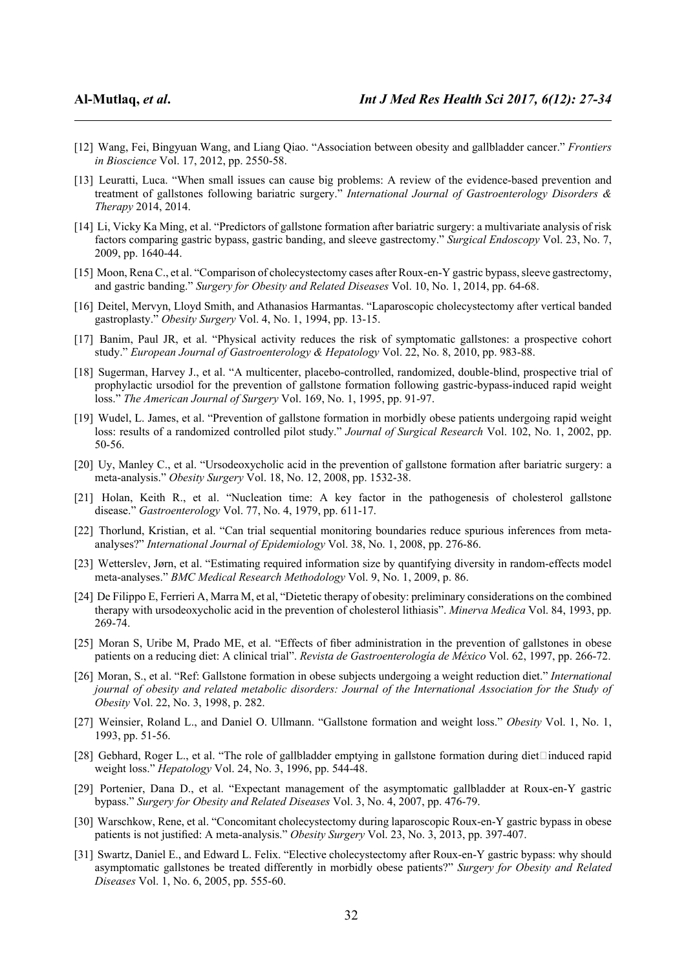- [12] Wang, Fei, Bingyuan Wang, and Liang Qiao. "Association between obesity and gallbladder cancer." *Frontiers in Bioscience* Vol. 17, 2012, pp. 2550-58.
- [13] Leuratti, Luca. "When small issues can cause big problems: A review of the evidence-based prevention and treatment of gallstones following bariatric surgery." *International Journal of Gastroenterology Disorders & Therapy* 2014, 2014.
- [14] Li, Vicky Ka Ming, et al. "Predictors of gallstone formation after bariatric surgery: a multivariate analysis of risk factors comparing gastric bypass, gastric banding, and sleeve gastrectomy." *Surgical Endoscopy* Vol. 23, No. 7, 2009, pp. 1640-44.
- [15] Moon, Rena C., et al. "Comparison of cholecystectomy cases after Roux-en-Y gastric bypass, sleeve gastrectomy, and gastric banding." *Surgery for Obesity and Related Diseases* Vol. 10, No. 1, 2014, pp. 64-68.
- [16] Deitel, Mervyn, Lloyd Smith, and Athanasios Harmantas. "Laparoscopic cholecystectomy after vertical banded gastroplasty." *Obesity Surgery* Vol. 4, No. 1, 1994, pp. 13-15.
- [17] Banim, Paul JR, et al. "Physical activity reduces the risk of symptomatic gallstones: a prospective cohort study." *European Journal of Gastroenterology & Hepatology* Vol. 22, No. 8, 2010, pp. 983-88.
- [18] Sugerman, Harvey J., et al. "A multicenter, placebo-controlled, randomized, double-blind, prospective trial of prophylactic ursodiol for the prevention of gallstone formation following gastric-bypass-induced rapid weight loss." *The American Journal of Surgery* Vol. 169, No. 1, 1995, pp. 91-97.
- [19] Wudel, L. James, et al. "Prevention of gallstone formation in morbidly obese patients undergoing rapid weight loss: results of a randomized controlled pilot study." *Journal of Surgical Research* Vol. 102, No. 1, 2002, pp. 50-56.
- [20] Uy, Manley C., et al. "Ursodeoxycholic acid in the prevention of gallstone formation after bariatric surgery: a meta-analysis." *Obesity Surgery* Vol. 18, No. 12, 2008, pp. 1532-38.
- [21] Holan, Keith R., et al. "Nucleation time: A key factor in the pathogenesis of cholesterol gallstone disease." *Gastroenterology* Vol. 77, No. 4, 1979, pp. 611-17.
- [22] Thorlund, Kristian, et al. "Can trial sequential monitoring boundaries reduce spurious inferences from metaanalyses?" *International Journal of Epidemiology* Vol. 38, No. 1, 2008, pp. 276-86.
- [23] Wetterslev, Jørn, et al. "Estimating required information size by quantifying diversity in random-effects model meta-analyses." *BMC Medical Research Methodology* Vol. 9, No. 1, 2009, p. 86.
- [24] De Filippo E, Ferrieri A, Marra M, et al, "Dietetic therapy of obesity: preliminary considerations on the combined therapy with ursodeoxycholic acid in the prevention of cholesterol lithiasis". *Minerva Medica* Vol. 84, 1993, pp. 269-74.
- [25] Moran S, Uribe M, Prado ME, et al. "Effects of fiber administration in the prevention of gallstones in obese patients on a reducing diet: A clinical trial". *Revista de Gastroenterología de México* Vol. 62, 1997, pp. 266-72.
- [26] Moran, S., et al. "Ref: Gallstone formation in obese subjects undergoing a weight reduction diet." *International journal of obesity and related metabolic disorders: Journal of the International Association for the Study of Obesity* Vol. 22, No. 3, 1998, p. 282.
- [27] Weinsier, Roland L., and Daniel O. Ullmann. "Gallstone formation and weight loss." *Obesity* Vol. 1, No. 1, 1993, pp. 51-56.
- [28] Gebhard, Roger L., et al. "The role of gallbladder emptying in gallstone formation during diet $\Box$ induced rapid weight loss." *Hepatology* Vol. 24, No. 3, 1996, pp. 544-48.
- [29] Portenier, Dana D., et al. "Expectant management of the asymptomatic gallbladder at Roux-en-Y gastric bypass." *Surgery for Obesity and Related Diseases* Vol. 3, No. 4, 2007, pp. 476-79.
- [30] Warschkow, Rene, et al. "Concomitant cholecystectomy during laparoscopic Roux-en-Y gastric bypass in obese patients is not justified: A meta-analysis." *Obesity Surgery* Vol. 23, No. 3, 2013, pp. 397-407.
- [31] Swartz, Daniel E., and Edward L. Felix. "Elective cholecystectomy after Roux-en-Y gastric bypass: why should asymptomatic gallstones be treated differently in morbidly obese patients?" *Surgery for Obesity and Related Diseases* Vol. 1, No. 6, 2005, pp. 555-60.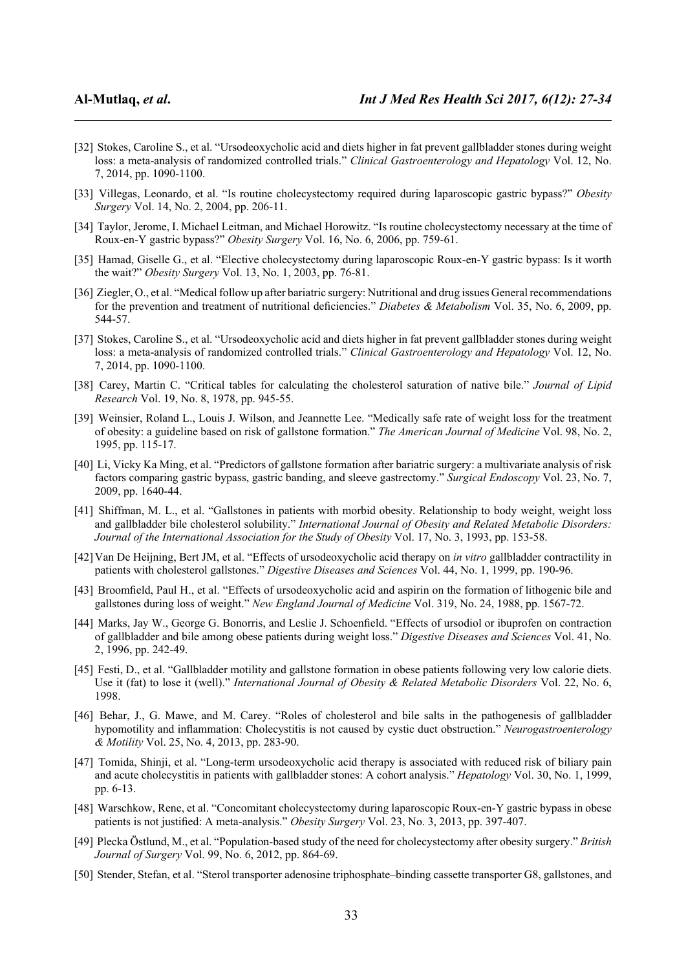- [32] Stokes, Caroline S., et al. "Ursodeoxycholic acid and diets higher in fat prevent gallbladder stones during weight loss: a meta-analysis of randomized controlled trials." *Clinical Gastroenterology and Hepatology* Vol. 12, No. 7, 2014, pp. 1090-1100.
- [33] Villegas, Leonardo, et al. "Is routine cholecystectomy required during laparoscopic gastric bypass?" *Obesity Surgery* Vol. 14, No. 2, 2004, pp. 206-11.
- [34] Taylor, Jerome, I. Michael Leitman, and Michael Horowitz. "Is routine cholecystectomy necessary at the time of Roux-en-Y gastric bypass?" *Obesity Surgery* Vol. 16, No. 6, 2006, pp. 759-61.
- [35] Hamad, Giselle G., et al. "Elective cholecystectomy during laparoscopic Roux-en-Y gastric bypass: Is it worth the wait?" *Obesity Surgery* Vol. 13, No. 1, 2003, pp. 76-81.
- [36] Ziegler, O., et al. "Medical follow up after bariatric surgery: Nutritional and drug issues General recommendations for the prevention and treatment of nutritional deficiencies." *Diabetes & Metabolism* Vol. 35, No. 6, 2009, pp. 544-57.
- [37] Stokes, Caroline S., et al. "Ursodeoxycholic acid and diets higher in fat prevent gallbladder stones during weight loss: a meta-analysis of randomized controlled trials." *Clinical Gastroenterology and Hepatology* Vol. 12, No. 7, 2014, pp. 1090-1100.
- [38] Carey, Martin C. "Critical tables for calculating the cholesterol saturation of native bile." *Journal of Lipid Research* Vol. 19, No. 8, 1978, pp. 945-55.
- [39] Weinsier, Roland L., Louis J. Wilson, and Jeannette Lee. "Medically safe rate of weight loss for the treatment of obesity: a guideline based on risk of gallstone formation." *The American Journal of Medicine* Vol. 98, No. 2, 1995, pp. 115-17.
- [40] Li, Vicky Ka Ming, et al. "Predictors of gallstone formation after bariatric surgery: a multivariate analysis of risk factors comparing gastric bypass, gastric banding, and sleeve gastrectomy." *Surgical Endoscopy* Vol. 23, No. 7, 2009, pp. 1640-44.
- [41] Shiffman, M. L., et al. "Gallstones in patients with morbid obesity. Relationship to body weight, weight loss and gallbladder bile cholesterol solubility." *International Journal of Obesity and Related Metabolic Disorders: Journal of the International Association for the Study of Obesity* Vol. 17, No. 3, 1993, pp. 153-58.
- [42]Van De Heijning, Bert JM, et al. "Effects of ursodeoxycholic acid therapy on *in vitro* gallbladder contractility in patients with cholesterol gallstones." *Digestive Diseases and Sciences* Vol. 44, No. 1, 1999, pp. 190-96.
- [43] Broomfield, Paul H., et al. "Effects of ursodeoxycholic acid and aspirin on the formation of lithogenic bile and gallstones during loss of weight." *New England Journal of Medicine* Vol. 319, No. 24, 1988, pp. 1567-72.
- [44] Marks, Jay W., George G. Bonorris, and Leslie J. Schoenfield. "Effects of ursodiol or ibuprofen on contraction of gallbladder and bile among obese patients during weight loss." *Digestive Diseases and Sciences* Vol. 41, No. 2, 1996, pp. 242-49.
- [45] Festi, D., et al. "Gallbladder motility and gallstone formation in obese patients following very low calorie diets. Use it (fat) to lose it (well)." *International Journal of Obesity & Related Metabolic Disorders* Vol. 22, No. 6, 1998.
- [46] Behar, J., G. Mawe, and M. Carey. "Roles of cholesterol and bile salts in the pathogenesis of gallbladder hypomotility and inflammation: Cholecystitis is not caused by cystic duct obstruction." *Neurogastroenterology & Motility* Vol. 25, No. 4, 2013, pp. 283-90.
- [47] Tomida, Shinji, et al. "Long-term ursodeoxycholic acid therapy is associated with reduced risk of biliary pain and acute cholecystitis in patients with gallbladder stones: A cohort analysis." *Hepatology* Vol. 30, No. 1, 1999, pp. 6-13.
- [48] Warschkow, Rene, et al. "Concomitant cholecystectomy during laparoscopic Roux-en-Y gastric bypass in obese patients is not justified: A meta-analysis." *Obesity Surgery* Vol. 23, No. 3, 2013, pp. 397-407.
- [49] Plecka Östlund, M., et al. "Population-based study of the need for cholecystectomy after obesity surgery." *British Journal of Surgery* Vol. 99, No. 6, 2012, pp. 864-69.
- [50] Stender, Stefan, et al. "Sterol transporter adenosine triphosphate–binding cassette transporter G8, gallstones, and